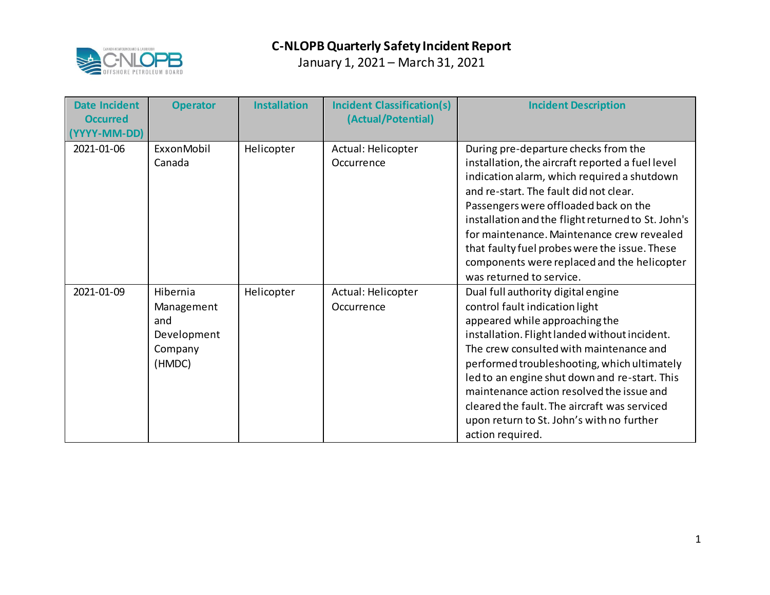

| <b>Date Incident</b><br><b>Occurred</b><br>(YYYY-MM-DD) | <b>Operator</b>                                                   | <b>Installation</b> | <b>Incident Classification(s)</b><br>(Actual/Potential) | <b>Incident Description</b>                                                                                                                                                                                                                                                                                                                                                                                                                                      |
|---------------------------------------------------------|-------------------------------------------------------------------|---------------------|---------------------------------------------------------|------------------------------------------------------------------------------------------------------------------------------------------------------------------------------------------------------------------------------------------------------------------------------------------------------------------------------------------------------------------------------------------------------------------------------------------------------------------|
| 2021-01-06                                              | ExxonMobil<br>Canada                                              | Helicopter          | Actual: Helicopter<br>Occurrence                        | During pre-departure checks from the<br>installation, the aircraft reported a fuel level<br>indication alarm, which required a shutdown<br>and re-start. The fault did not clear.<br>Passengers were offloaded back on the<br>installation and the flight returned to St. John's<br>for maintenance. Maintenance crew revealed<br>that faulty fuel probes were the issue. These<br>components were replaced and the helicopter<br>was returned to service.       |
| 2021-01-09                                              | Hibernia<br>Management<br>and<br>Development<br>Company<br>(HMDC) | Helicopter          | Actual: Helicopter<br>Occurrence                        | Dual full authority digital engine<br>control fault indication light<br>appeared while approaching the<br>installation. Flight landed without incident.<br>The crew consulted with maintenance and<br>performed troubleshooting, which ultimately<br>led to an engine shut down and re-start. This<br>maintenance action resolved the issue and<br>cleared the fault. The aircraft was serviced<br>upon return to St. John's with no further<br>action required. |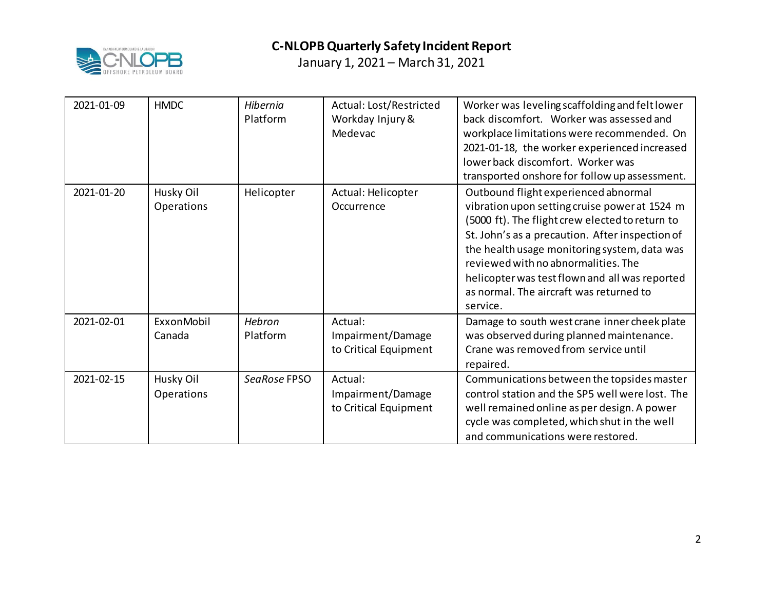

| 2021-01-09 | <b>HMDC</b>             | Hibernia<br>Platform | Actual: Lost/Restricted<br>Workday Injury &<br>Medevac | Worker was leveling scaffolding and felt lower<br>back discomfort. Worker was assessed and<br>workplace limitations were recommended. On<br>2021-01-18, the worker experienced increased<br>lower back discomfort. Worker was<br>transported onshore for follow up assessment.                                                                                                              |
|------------|-------------------------|----------------------|--------------------------------------------------------|---------------------------------------------------------------------------------------------------------------------------------------------------------------------------------------------------------------------------------------------------------------------------------------------------------------------------------------------------------------------------------------------|
| 2021-01-20 | Husky Oil<br>Operations | Helicopter           | Actual: Helicopter<br>Occurrence                       | Outbound flight experienced abnormal<br>vibration upon setting cruise power at 1524 m<br>(5000 ft). The flight crew elected to return to<br>St. John's as a precaution. After inspection of<br>the health usage monitoring system, data was<br>reviewed with no abnormalities. The<br>helicopter was test flown and all was reported<br>as normal. The aircraft was returned to<br>service. |
| 2021-02-01 | ExxonMobil<br>Canada    | Hebron<br>Platform   | Actual:<br>Impairment/Damage<br>to Critical Equipment  | Damage to south west crane inner cheek plate<br>was observed during planned maintenance.<br>Crane was removed from service until<br>repaired.                                                                                                                                                                                                                                               |
| 2021-02-15 | Husky Oil<br>Operations | SeaRose FPSO         | Actual:<br>Impairment/Damage<br>to Critical Equipment  | Communications between the topsides master<br>control station and the SP5 well were lost. The<br>well remained online as per design. A power<br>cycle was completed, which shut in the well<br>and communications were restored.                                                                                                                                                            |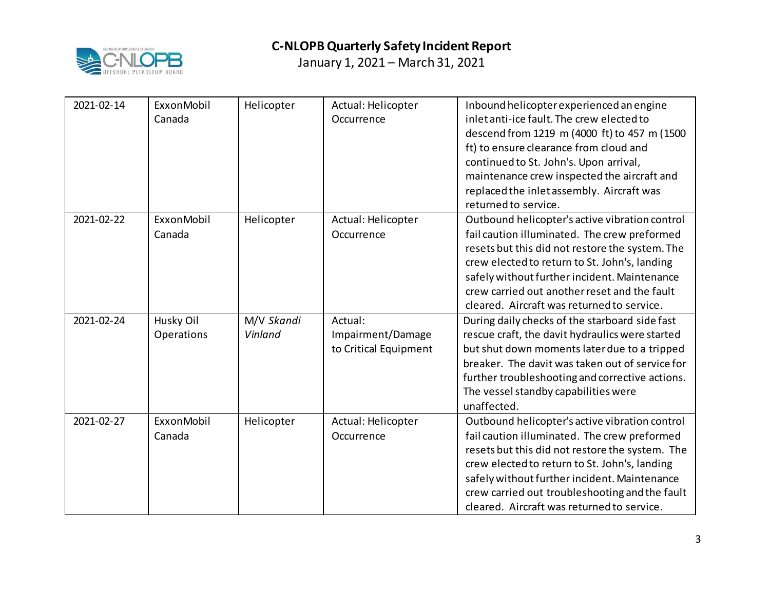

| 2021-02-14 | ExxonMobil<br>Canada    | Helicopter            | Actual: Helicopter<br>Occurrence                      | Inbound helicopter experienced an engine<br>inlet anti-ice fault. The crew elected to<br>descend from 1219 m (4000 ft) to 457 m (1500<br>ft) to ensure clearance from cloud and<br>continued to St. John's. Upon arrival,<br>maintenance crew inspected the aircraft and<br>replaced the inlet assembly. Aircraft was<br>returned to service.      |
|------------|-------------------------|-----------------------|-------------------------------------------------------|----------------------------------------------------------------------------------------------------------------------------------------------------------------------------------------------------------------------------------------------------------------------------------------------------------------------------------------------------|
| 2021-02-22 | ExxonMobil<br>Canada    | Helicopter            | Actual: Helicopter<br>Occurrence                      | Outbound helicopter's active vibration control<br>fail caution illuminated. The crew preformed<br>resets but this did not restore the system. The<br>crew elected to return to St. John's, landing<br>safely without further incident. Maintenance<br>crew carried out another reset and the fault<br>cleared. Aircraft was returned to service.   |
| 2021-02-24 | Husky Oil<br>Operations | M/V Skandi<br>Vinland | Actual:<br>Impairment/Damage<br>to Critical Equipment | During daily checks of the starboard side fast<br>rescue craft, the davit hydraulics were started<br>but shut down moments later due to a tripped<br>breaker. The davit was taken out of service for<br>further troubleshooting and corrective actions.<br>The vessel standby capabilities were<br>unaffected.                                     |
| 2021-02-27 | ExxonMobil<br>Canada    | Helicopter            | Actual: Helicopter<br>Occurrence                      | Outbound helicopter's active vibration control<br>fail caution illuminated. The crew preformed<br>resets but this did not restore the system. The<br>crew elected to return to St. John's, landing<br>safely without further incident. Maintenance<br>crew carried out troubleshooting and the fault<br>cleared. Aircraft was returned to service. |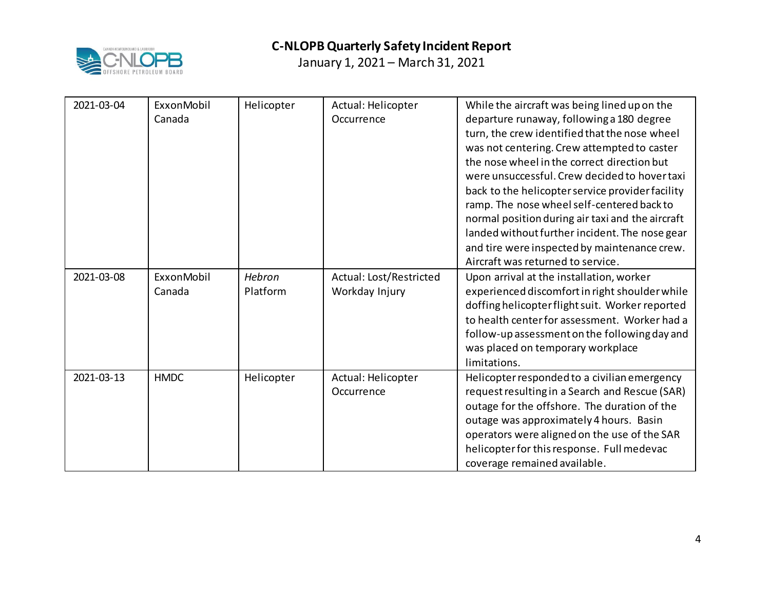

| 2021-03-04 | ExxonMobil<br>Canada | Helicopter         | Actual: Helicopter<br>Occurrence          | While the aircraft was being lined up on the<br>departure runaway, following a 180 degree<br>turn, the crew identified that the nose wheel<br>was not centering. Crew attempted to caster<br>the nose wheel in the correct direction but<br>were unsuccessful. Crew decided to hover taxi<br>back to the helicopter service provider facility<br>ramp. The nose wheel self-centered back to |
|------------|----------------------|--------------------|-------------------------------------------|---------------------------------------------------------------------------------------------------------------------------------------------------------------------------------------------------------------------------------------------------------------------------------------------------------------------------------------------------------------------------------------------|
|            |                      |                    |                                           | normal position during air taxi and the aircraft<br>landed without further incident. The nose gear                                                                                                                                                                                                                                                                                          |
|            |                      |                    |                                           | and tire were inspected by maintenance crew.<br>Aircraft was returned to service.                                                                                                                                                                                                                                                                                                           |
| 2021-03-08 | ExxonMobil<br>Canada | Hebron<br>Platform | Actual: Lost/Restricted<br>Workday Injury | Upon arrival at the installation, worker<br>experienced discomfort in right shoulder while<br>doffing helicopter flight suit. Worker reported<br>to health center for assessment. Worker had a<br>follow-up assessment on the following day and<br>was placed on temporary workplace<br>limitations.                                                                                        |
| 2021-03-13 | <b>HMDC</b>          | Helicopter         | Actual: Helicopter<br>Occurrence          | Helicopter responded to a civilian emergency<br>request resulting in a Search and Rescue (SAR)<br>outage for the offshore. The duration of the<br>outage was approximately 4 hours. Basin<br>operators were aligned on the use of the SAR<br>helicopter for this response. Full medevac<br>coverage remained available.                                                                     |